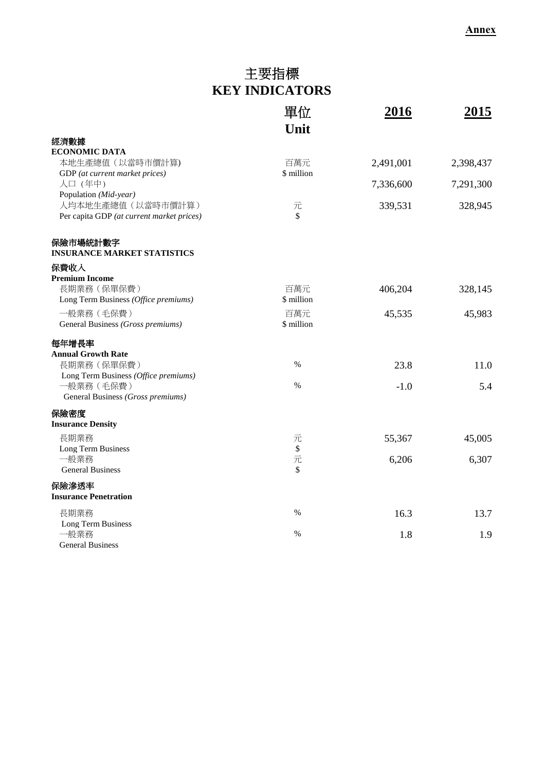## 主要指標 **KEY INDICATORS**

|                                                                 | 單位<br>Unit         | 2016      | 2015      |
|-----------------------------------------------------------------|--------------------|-----------|-----------|
| 經濟數據                                                            |                    |           |           |
| <b>ECONOMIC DATA</b>                                            |                    |           |           |
| 本地生產總值 (以當時市價計算)                                                | 百萬元<br>\$ million  | 2,491,001 | 2,398,437 |
| GDP (at current market prices)<br>人口 (年中)                       |                    | 7,336,600 | 7,291,300 |
| Population (Mid-year)                                           |                    |           |           |
| 人均本地生產總值 (以當時市價計算)<br>Per capita GDP (at current market prices) | 元<br>$\mathcal{S}$ | 339,531   | 328,945   |
| 保險市場統計數字<br><b>INSURANCE MARKET STATISTICS</b>                  |                    |           |           |
| 保費收入                                                            |                    |           |           |
| <b>Premium Income</b>                                           |                    |           |           |
| 長期業務 (保單保費)                                                     | 百萬元                | 406,204   | 328,145   |
| Long Term Business (Office premiums)                            | \$ million         |           |           |
| 一般業務 (毛保費)                                                      | 百萬元                | 45,535    | 45,983    |
| General Business (Gross premiums)                               | \$ million         |           |           |
| 每年增長率                                                           |                    |           |           |
| <b>Annual Growth Rate</b>                                       |                    |           |           |
| 長期業務 (保單保費)                                                     | $\%$               | 23.8      | 11.0      |
| Long Term Business (Office premiums)                            |                    |           |           |
| 一般業務 (毛保費)                                                      | $\%$               | $-1.0$    | 5.4       |
| General Business (Gross premiums)                               |                    |           |           |
| 保險密度                                                            |                    |           |           |
| <b>Insurance Density</b>                                        |                    |           |           |
| 長期業務                                                            | 元                  | 55,367    | 45,005    |
| Long Term Business                                              | $\$$               |           |           |
| 一般業務                                                            | 元                  | 6,206     | 6,307     |
| <b>General Business</b>                                         | \$                 |           |           |
| 保險滲透率                                                           |                    |           |           |
| <b>Insurance Penetration</b>                                    |                    |           |           |
| 長期業務                                                            | $\%$               | 16.3      | 13.7      |
| Long Term Business                                              |                    |           |           |
| 一般業務                                                            | $\%$               | 1.8       | 1.9       |
| <b>General Business</b>                                         |                    |           |           |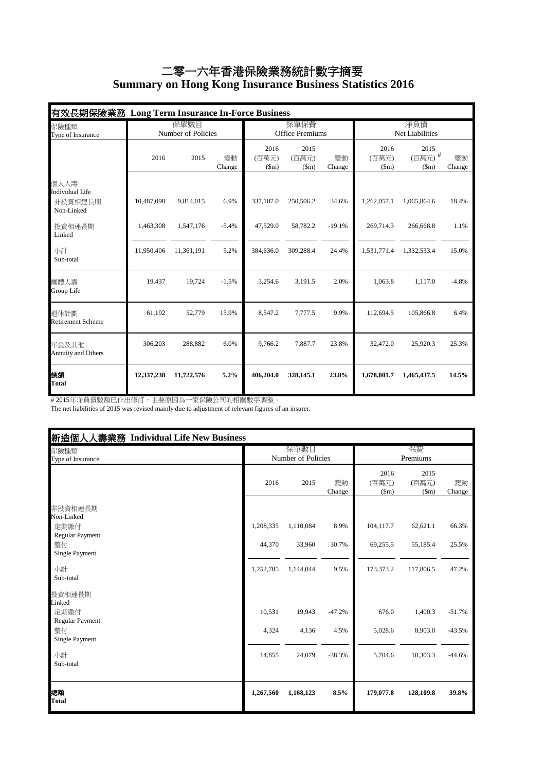## 二零一六年香港保險業務統計數字摘要  **Summary on Hong Kong Insurance Business Statistics 2016**

| 有效長期保險業務 Long Term Insurance In-Force Business          |                            |            |              |                                |                       |              |                        |                        |              |
|---------------------------------------------------------|----------------------------|------------|--------------|--------------------------------|-----------------------|--------------|------------------------|------------------------|--------------|
| 保險種類<br>Type of Insurance                               | 保單數目<br>Number of Policies |            |              | 保單保費<br><b>Office Premiums</b> |                       |              | 淨負債<br>Net Liabilities |                        |              |
|                                                         | 2016                       | 2015       | 變動<br>Change | 2016<br>(百萬元)<br>$(\text{Sm})$ | 2015<br>(百萬元)<br>(Sm) | 變動<br>Change | 2016<br>(百萬元)<br>(Sm)  | 2015<br>(百萬元)#<br>(Sm) | 變動<br>Change |
| 個人人壽<br><b>Individual Life</b><br>非投資相連長期<br>Non-Linked | 10,487,098                 | 9,814,015  | 6.9%         | 337,107.0                      | 250,506.2             | 34.6%        | 1,262,057.1            | 1,065,864.6            | 18.4%        |
| 投資相連長期<br>Linked                                        | 1,463,308                  | 1,547,176  | $-5.4%$      | 47,529.0                       | 58,782.2              | $-19.1%$     | 269,714.3              | 266,668.8              | 1.1%         |
| 小計<br>Sub-total                                         | 11,950,406                 | 11,361,191 | 5.2%         | 384,636.0                      | 309,288.4             | 24.4%        | 1,531,771.4            | 1,332,533.4            | 15.0%        |
| 團體人壽<br>Group Life                                      | 19,437                     | 19,724     | $-1.5%$      | 3,254.6                        | 3,191.5               | 2.0%         | 1,063.8                | 1,117.0                | $-4.8%$      |
| 退休計劃<br><b>Retirement Scheme</b>                        | 61,192                     | 52,779     | 15.9%        | 8.547.2                        | 7,777.5               | 9.9%         | 112,694.5              | 105,866.8              | 6.4%         |
| 年金及其他<br>Annuity and Others                             | 306,203                    | 288,882    | 6.0%         | 9,766.2                        | 7,887.7               | 23.8%        | 32,472.0               | 25,920.3               | 25.3%        |
| 總額<br><b>Total</b>                                      | 12,337,238                 | 11,722,576 | 5.2%         | 406,204.0                      | 328,145.1             | 23.8%        | 1,678,001.7            | 1,465,437.5            | 14.5%        |

# 2015年淨負債數額已作出修訂,主要原因為一家保險公司的相關數字調整。

The net liabilities of 2015 was revised mainly due to adjustment of relevant figures of an insurer.

| 新造個人人壽業務 Individual Life New Business          |                            |           |              |                       |                                |              |
|------------------------------------------------|----------------------------|-----------|--------------|-----------------------|--------------------------------|--------------|
| 保險種類<br>Type of Insurance                      | 保單數目<br>Number of Policies |           |              | 保費<br>Premiums        |                                |              |
|                                                | 2016                       | 2015      | 變動<br>Change | 2016<br>(百萬元)<br>\$m) | 2015<br>(百萬元)<br>$(\text{5m})$ | 變動<br>Change |
| 非投資相連長期<br>Non-Linked<br>定期繳付                  | 1,208,335                  | 1,110,084 | 8.9%         | 104,117.7             | 62,621.1                       | 66.3%        |
| <b>Regular Payment</b><br>整付<br>Single Payment | 44,370                     | 33,960    | 30.7%        | 69,255.5              | 55,185.4                       | 25.5%        |
| 小計<br>Sub-total                                | 1,252,705                  | 1,144,044 | 9.5%         | 173,373.2             | 117,806.5                      | 47.2%        |
| 投資相連長期<br>Linked<br>定期繳付                       | 10,531                     | 19,943    | $-47.2%$     | 676.0                 | 1,400.3                        | $-51.7%$     |
| Regular Payment<br>整付<br>Single Payment        | 4,324                      | 4,136     | 4.5%         | 5,028.6               | 8,903.0                        | $-43.5%$     |
| 小計<br>Sub-total                                | 14,855                     | 24,079    | $-38.3%$     | 5,704.6               | 10,303.3                       | $-44.6%$     |
| 總額<br><b>Total</b>                             | 1,267,560                  | 1,168,123 | 8.5%         | 179,077.8             | 128,109.8                      | 39.8%        |